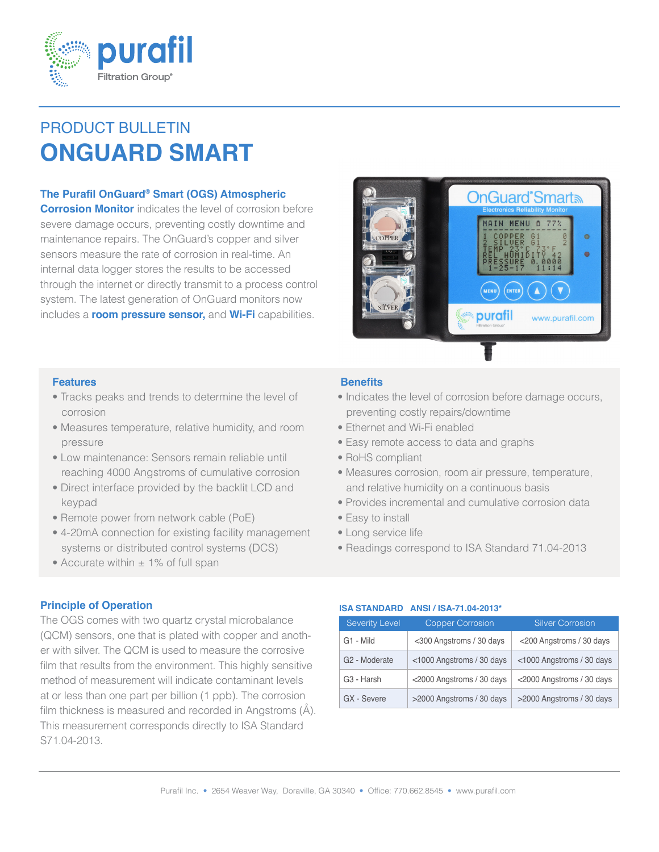

# PRODUCT BULLETIN **ONGUARD SMART**

# **The Purafil OnGuard® Smart (OGS) Atmospheric**

**Corrosion Monitor** indicates the level of corrosion before severe damage occurs, preventing costly downtime and maintenance repairs. The OnGuard's copper and silver sensors measure the rate of corrosion in real-time. An internal data logger stores the results to be accessed through the internet or directly transmit to a process control system. The latest generation of OnGuard monitors now includes a **room pressure sensor,** and **Wi-Fi** capabilities.



### **Features**

- Tracks peaks and trends to determine the level of corrosion
- Measures temperature, relative humidity, and room pressure
- Low maintenance: Sensors remain reliable until reaching 4000 Angstroms of cumulative corrosion
- Direct interface provided by the backlit LCD and keypad
- Remote power from network cable (PoE)
- 4-20mA connection for existing facility management systems or distributed control systems (DCS)
- Accurate within  $\pm$  1% of full span

### **Principle of Operation**

The OGS comes with two quartz crystal microbalance (QCM) sensors, one that is plated with copper and another with silver. The QCM is used to measure the corrosive film that results from the environment. This highly sensitive method of measurement will indicate contaminant levels at or less than one part per billion (1 ppb). The corrosion film thickness is measured and recorded in Angstroms (Å). This measurement corresponds directly to ISA Standard S71.04-2013.

## **Benefits**

- Indicates the level of corrosion before damage occurs, preventing costly repairs/downtime
- Ethernet and Wi-Fi enabled
- Easy remote access to data and graphs
- RoHS compliant
- Measures corrosion, room air pressure, temperature, and relative humidity on a continuous basis
- Provides incremental and cumulative corrosion data
- Easy to install
- Long service life
- Readings correspond to ISA Standard 71.04-2013

#### **ISA STANDARD ANSI / ISA-71.04-2013\***

| <b>Severity Level</b>     | <b>Copper Corrosion</b>   | <b>Silver Corrosion</b>   |
|---------------------------|---------------------------|---------------------------|
| G1 - Mild                 | <300 Angstroms / 30 days  | <200 Angstroms / 30 days  |
| G <sub>2</sub> - Moderate | <1000 Angstroms / 30 days | <1000 Angstroms / 30 days |
| G <sub>3</sub> - Harsh    | <2000 Angstroms / 30 days | <2000 Angstroms / 30 days |
| GX - Severe               | >2000 Angstroms / 30 days | >2000 Angstroms / 30 days |